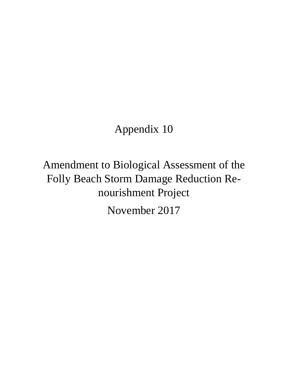# Appendix 10

Amendment to Biological Assessment of the Folly Beach Storm Damage Reduction Renourishment Project

November 2017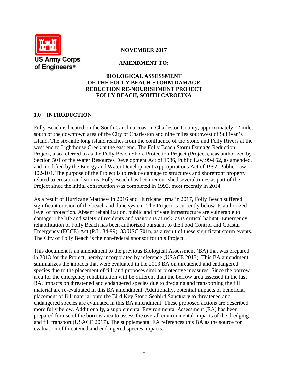

## **NOVEMBER 2017**

## **AMENDMENT TO:**

## **BIOLOGICAL ASSESSMENT OF THE FOLLY BEACH STORM DAMAGE REDUCTION RE-NOURISHMENT PROJECT FOLLY BEACH, SOUTH CAROLINA**

# **1.0 INTRODUCTION**

Folly Beach is located on the South Carolina coast in Charleston County, approximately 12 miles south of the downtown area of the City of Charleston and nine miles southwest of Sullivan's Island. The six-mile long island reaches from the confluence of the Stono and Folly Rivers at the west end to Lighthouse Creek at the east end. The Folly Beach Storm Damage Reduction Project, also referred to as the Folly Beach Shore Protection Project (Project), was authorized by Section 501 of the Water Resources Development Act of 1986, Public Law 99-662, as amended, and modified by the Energy and Water Development Appropriations Act of 1992, Public Law 102-104. The purpose of the Project is to reduce damage to structures and shorefront property related to erosion and storms. Folly Beach has been renourished several times as part of the Project since the initial construction was completed in 1993, most recently in 2014.

As a result of Hurricane Matthew in 2016 and Hurricane Irma in 2017, Folly Beach suffered significant erosion of the beach and dune system. The Project is currently below its authorized level of protection. Absent rehabilitation, public and private infrastructure are vulnerable to damage. The life and safety of residents and visitors is at risk, as is critical habitat. Emergency rehabilitation of Folly Beach has been authorized pursuant to the Food Control and Coastal Emergency (FCCE) Act (P.L. 84-99), 33 USC 701n, as a result of these significant storm events. The City of Folly Beach is the non-federal sponsor for this Project.

This document is an amendment to the previous Biological Assessment (BA) that was prepared in 2013 for the Project, hereby incorporated by reference (USACE 2013). This BA amendment summarizes the impacts that were evaluated in the 2013 BA on threatened and endangered species due to the placement of fill, and proposes similar protective measures. Since the borrow area for the emergency rehabilitation will be different than the borrow area assessed in the last BA, impacts on threatened and endangered species due to dredging and transporting the fill material are re-evaluated in this BA amendment. Additionally, potential impacts of beneficial placement of fill material onto the Bird Key Stono Seabird Sanctuary to threatened and endangered species are evaluated in this BA amendment. These proposed actions are described more fully below. Additionally, a supplemental Environmental Assessment (EA) has been prepared for use of the borrow area to assess the overall environmental impacts of the dredging and fill transport (USACE 2017). The supplemental EA references this BA as the source for evaluation of threatened and endangered species impacts.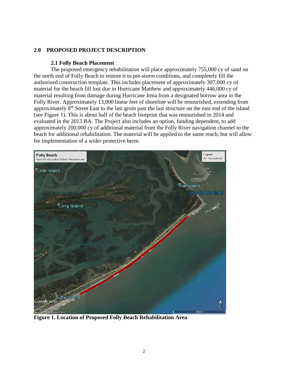# **2.0 PROPOSED PROJECT DESCRIPTION**

## **2.1 Folly Beach Placement**

The proposed emergency rehabilitation will place approximately 755,000 cy of sand on the north end of Folly Beach to restore it to pre-storm conditions, and completely fill the authorized construction template. This includes placement of approximately 307,000 cy of material for the beach fill lost due to Hurricane Matthew and approximately 446,000 cy of material resulting from damage during Hurricane Irma from a designated borrow area in the Folly River. Approximately 13,000 linear feet of shoreline will be renourished, extending from approximately 8<sup>th</sup> Street East to the last groin past the last structure on the east end of the island (see Figure 1). This is about half of the beach footprint that was renourished in 2014 and evaluated in the 2013 BA. The Project also includes an option, funding dependent, to add approximately 200,000 cy of additional material from the Folly River navigation channel to the beach for additional rehabilitation. The material will be applied to the same reach, but will allow for implementation of a wider protective berm.



**Figure 1. Location of Proposed Folly Beach Rehabilitation Area**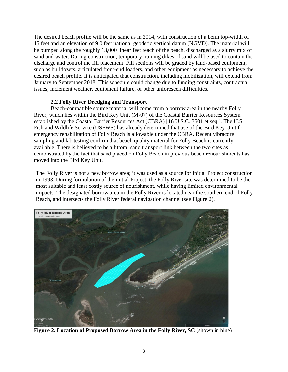The desired beach profile will be the same as in 2014, with construction of a berm top-width of 15 feet and an elevation of 9.0 feet national geodetic vertical datum (NGVD). The material will be pumped along the roughly 13,000 linear feet reach of the beach, discharged as a slurry mix of sand and water. During construction, temporary training dikes of sand will be used to contain the discharge and control the fill placement. Fill sections will be graded by land-based equipment, such as bulldozers, articulated front-end loaders, and other equipment as necessary to achieve the desired beach profile. It is anticipated that construction, including mobilization, will extend from January to September 2018. This schedule could change due to funding constraints, contractual issues, inclement weather, equipment failure, or other unforeseen difficulties.

## **2.2 Folly River Dredging and Transport**

Beach-compatible source material will come from a borrow area in the nearby Folly River, which lies within the Bird Key Unit (M-07) of the Coastal Barrier Resources System established by the Coastal Barrier Resources Act (CBRA) [16 U.S.C. 3501 et seq.]. The U.S. Fish and Wildlife Service (USFWS) has already determined that use of the Bird Key Unit for emergency rehabilitation of Folly Beach is allowable under the CBRA. Recent vibracore sampling and lab testing confirm that beach quality material for Folly Beach is currently available. There is believed to be a littoral sand transport link between the two sites as demonstrated by the fact that sand placed on Folly Beach in previous beach renourishments has moved into the Bird Key Unit.

The Folly River is not a new borrow area; it was used as a source for initial Project construction in 1993. During formulation of the initial Project, the Folly River site was determined to be the most suitable and least costly source of nourishment, while having limited environmental impacts. The designated borrow area in the Folly River is located near the southern end of Folly Beach, and intersects the Folly River federal navigation channel (see Figure 2).



**Figure 2. Location of Proposed Borrow Area in the Folly River, SC** (shown in blue)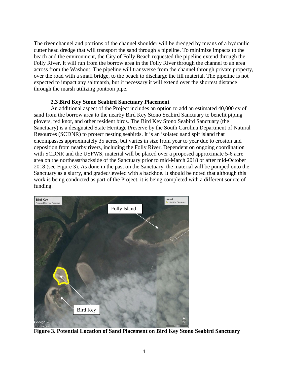The river channel and portions of the channel shoulder will be dredged by means of a hydraulic cutter head dredge that will transport the sand through a pipeline. To minimize impacts to the beach and the environment, the City of Folly Beach requested the pipeline extend through the Folly River. It will run from the borrow area in the Folly River through the channel to an area across from the Washout. The pipeline will transverse from the channel through private property, over the road with a small bridge, to the beach to discharge the fill material. The pipeline is not expected to impact any saltmarsh, but if necessary it will extend over the shortest distance through the marsh utilizing pontoon pipe.

## **2.3 Bird Key Stono Seabird Sanctuary Placement**

An additional aspect of the Project includes an option to add an estimated 40,000 cy of sand from the borrow area to the nearby Bird Key Stono Seabird Sanctuary to benefit piping plovers, red knot, and other resident birds. The Bird Key Stono Seabird Sanctuary (the Sanctuary) is a designated State Heritage Preserve by the South Carolina Department of Natural Resources (SCDNR) to protect nesting seabirds. It is an isolated sand spit island that encompasses approximately 35 acres, but varies in size from year to year due to erosion and deposition from nearby rivers, including the Folly River. Dependent on ongoing coordination with SCDNR and the USFWS, material will be placed over a proposed approximate 5-6 acre area on the northeast/backside of the Sanctuary prior to mid-March 2018 or after mid-October 2018 (see Figure 3). As done in the past on the Sanctuary, the material will be pumped onto the Sanctuary as a slurry, and graded/leveled with a backhoe. It should be noted that although this work is being conducted as part of the Project, it is being completed with a different source of funding.



**Figure 3. Potential Location of Sand Placement on Bird Key Stono Seabird Sanctuary**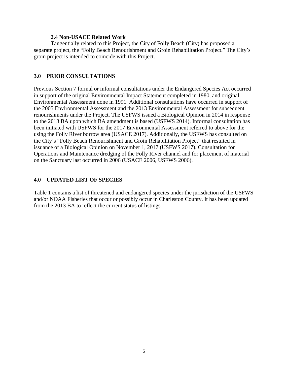#### **2.4 Non-USACE Related Work**

Tangentially related to this Project, the City of Folly Beach (City) has proposed a separate project, the "Folly Beach Renourishment and Groin Rehabilitation Project." The City's groin project is intended to coincide with this Project.

## **3.0 PRIOR CONSULTATIONS**

Previous Section 7 formal or informal consultations under the Endangered Species Act occurred in support of the original Environmental Impact Statement completed in 1980, and original Environmental Assessment done in 1991. Additional consultations have occurred in support of the 2005 Environmental Assessment and the 2013 Environmental Assessment for subsequent renourishments under the Project. The USFWS issued a Biological Opinion in 2014 in response to the 2013 BA upon which BA amendment is based (USFWS 2014). Informal consultation has been initiated with USFWS for the 2017 Environmental Assessment referred to above for the using the Folly River borrow area (USACE 2017). Additionally, the USFWS has consulted on the City's "Folly Beach Renourishment and Groin Rehabilitation Project" that resulted in issuance of a Biological Opinion on November 1, 2017 (USFWS 2017). Consultation for Operations and Maintenance dredging of the Folly River channel and for placement of material on the Sanctuary last occurred in 2006 (USACE 2006, USFWS 2006).

## **4.0 UPDATED LIST OF SPECIES**

Table 1 contains a list of threatened and endangered species under the jurisdiction of the USFWS and/or NOAA Fisheries that occur or possibly occur in Charleston County. It has been updated from the 2013 BA to reflect the current status of listings.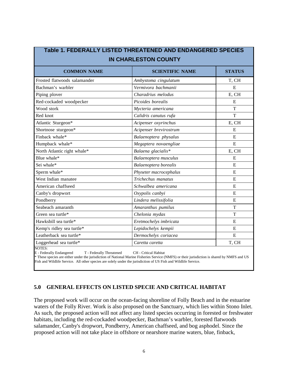| <b>IN CHARLESTON COUNTY</b>  |                        |                |
|------------------------------|------------------------|----------------|
| <b>COMMON NAME</b>           | <b>SCIENTIFIC NAME</b> | <b>STATUS</b>  |
| Frosted flatwoods salamander | Ambystoma cingulatum   | T, CH          |
| Bachman's warbler            | Vermivora bachmanii    | E              |
| Piping plover                | Charadrius melodus     | E, CH          |
| Red-cockaded woodpecker      | Picoides borealis      | E              |
| Wood stork                   | Mycteria americana     | T              |
| Red knot                     | Calidris canutus rufa  | T              |
| Atlantic Sturgeon*           | Acipenser oxyrinchus   | E, CH          |
| Shortnose sturgeon*          | Acipenser brevirostrum | E              |
| Finback whale*               | Balaenoptera physalus  | ${\bf E}$      |
| Humpback whale*              | Megaptera novaengliae  | $\overline{E}$ |
| North Atlantic right whale*  | Balaena glacialis*     | E, CH          |
| Blue whale*                  | Balaenoptera musculus  | E              |
| Sei whale*                   | Balaenoptera borealis  | E              |
| Sperm whale*                 | Physeter macrocephalus | E              |
| West Indian manatee          | Trichechus manatus     | ${\bf E}$      |
| American chaffseed           | Schwalbea americana    | ${\bf E}$      |
| Canby's dropwort             | Oxypolis canbyi        | E              |
| Pondberry                    | Lindera melissifolia   | E              |
| Seabeach amaranth            | Amaranthus pumilus     | T              |
| Green sea turtle*            | Chelonia mydas         | T              |
| Hawksbill sea turtle*        | Eretmochelys imbricata | E              |
| Kemp's ridley sea turtle*    | Lepidochelys kempii    | E              |
| Leatherback sea turtle*      | Dermochelys coriacea   | E              |
| Loggerhead sea turtle*       | Caretta caretta        | T, CH          |

**Table 1. FEDERALLY LISTED THREATENED AND ENDANGERED SPECIES**

E - Federally Endangered T - Federally Threatened CH - Critical Habitat

\* These species are either under the jurisdiction of National Marine Fisheries Service (NMFS) or their jurisdiction is shared by NMFS and US Fish and Wildlife Service. All other species are solely under the jurisdiction of US Fish and Wildlife Service.

## **5.0 GENERAL EFFECTS ON LISTED SPECIE AND CRITICAL HABITAT**

The proposed work will occur on the ocean-facing shoreline of Folly Beach and in the estuarine waters of the Folly River. Work is also proposed on the Sanctuary, which lies within Stono Inlet. As such, the proposed action will not affect any listed species occurring in forested or freshwater habitats, including the red-cockaded woodpecker, Bachman's warbler, forested flatwoods salamander, Canby's dropwort, Pondberry, American chaffseed, and bog asphodel. Since the proposed action will not take place in offshore or nearshore marine waters, blue, finback,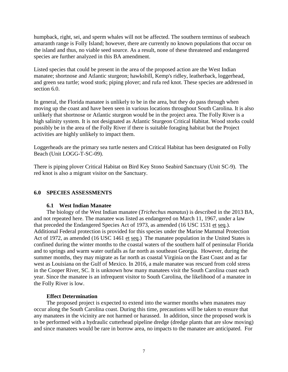humpback, right, sei, and sperm whales will not be affected. The southern terminus of seabeach amaranth range is Folly Island; however, there are currently no known populations that occur on the island and thus, no viable seed source. As a result, none of these threatened and endangered species are further analyzed in this BA amendment.

Listed species that could be present in the area of the proposed action are the West Indian manatee; shortnose and Atlantic sturgeon; hawksbill, Kemp's ridley, leatherback, loggerhead, and green sea turtle; wood stork; piping plover; and rufa red knot. These species are addressed in section 6.0.

In general, the Florida manatee is unlikely to be in the area, but they do pass through when moving up the coast and have been seen in various locations throughout South Carolina. It is also unlikely that shortnose or Atlantic sturgeon would be in the project area. The Folly River is a high salinity system. It is not designated as Atlantic Sturgeon Critical Habitat. Wood storks could possibly be in the area of the Folly River if there is suitable foraging habitat but the Project activities are highly unlikely to impact them.

Loggerheads are the primary sea turtle nesters and Critical Habitat has been designated on Folly Beach (Unit LOGG-T-SC-09).

There is piping plover Critical Habitat on Bird Key Stono Seabird Sanctuary (Unit SC-9). The red knot is also a migrant visitor on the Sanctuary.

# **6.0 SPECIES ASSESSMENTS**

## **6.1 West Indian Manatee**

The biology of the West Indian manatee (*Trichechus manatus*) is described in the 2013 BA, and not repeated here. The manatee was listed as endangered on March 11, 1967, under a law that preceded the Endangered Species Act of 1973, as amended (16 USC 1531 et seq.). Additional Federal protection is provided for this species under the Marine Mammal Protection Act of 1972, as amended (16 USC 1461 et seq.) The manatee population in the United States is confined during the winter months to the coastal waters of the southern half of peninsular Florida and to springs and warm water outfalls as far north as southeast Georgia. However, during the summer months, they may migrate as far north as coastal Virginia on the East Coast and as far west as Louisiana on the Gulf of Mexico. In 2016, a male manatee was rescued from cold stress in the Cooper River, SC. It is unknown how many manatees visit the South Carolina coast each year. Since the manatee is an infrequent visitor to South Carolina, the likelihood of a manatee in the Folly River is low.

## **Effect Determination**

The proposed project is expected to extend into the warmer months when manatees may occur along the South Carolina coast. During this time, precautions will be taken to ensure that any manatees in the vicinity are not harmed or harassed. In addition, since the proposed work is to be performed with a hydraulic cutterhead pipeline dredge (dredge plants that are slow moving) and since manatees would be rare in borrow area, no impacts to the manatee are anticipated. For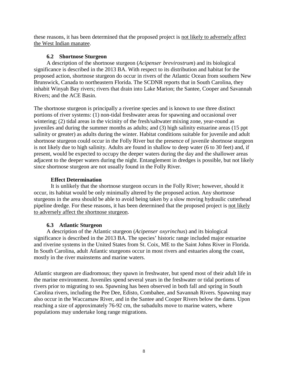these reasons, it has been determined that the proposed project is not likely to adversely affect the West Indian manatee.

# **6.2 Shortnose Sturgeon**

A description of the shortnose sturgeon (*Acipenser brevirostrum*) and its biological significance is described in the 2013 BA. With respect to its distribution and habitat for the proposed action, shortnose sturgeon do occur in rivers of the Atlantic Ocean from southern New Brunswick, Canada to northeastern Florida. The SCDNR reports that in South Carolina, they inhabit Winyah Bay rivers; rivers that drain into Lake Marion; the Santee, Cooper and Savannah Rivers; and the ACE Basin.

The shortnose sturgeon is principally a riverine species and is known to use three distinct portions of river systems: (1) non-tidal freshwater areas for spawning and occasional over wintering; (2) tidal areas in the vicinity of the fresh/saltwater mixing zone, year-round as juveniles and during the summer months as adults; and (3) high salinity estuarine areas (15 ppt salinity or greater) as adults during the winter. Habitat conditions suitable for juvenile and adult shortnose sturgeon could occur in the Folly River but the presence of juvenile shortnose sturgeon is not likely due to high salinity. Adults are found in shallow to deep water (6 to 30 feet) and, if present, would be expected to occupy the deeper waters during the day and the shallower areas adjacent to the deeper waters during the night. Entanglement in dredges is possible, but not likely since shortnose sturgeon are not usually found in the Folly River.

# **Effect Determination**

It is unlikely that the shortnose sturgeon occurs in the Folly River; however, should it occur, its habitat would be only minimally altered by the proposed action. Any shortnose sturgeons in the area should be able to avoid being taken by a slow moving hydraulic cutterhead pipeline dredge. For these reasons, it has been determined that the proposed project is not likely to adversely affect the shortnose sturgeon.

# **6.3 Atlantic Sturgeon**

A description of the Atlantic sturgeon (*Acipenser oxyrinchus*) and its biological significance is described in the 2013 BA. The species' historic range included major estuarine and riverine systems in the United States from St. Coix, ME to the Saint Johns River in Florida. In South Carolina, adult Atlantic sturgeons occur in most rivers and estuaries along the coast, mostly in the river mainstems and marine waters.

Atlantic sturgeon are diadromous; they spawn in freshwater, but spend most of their adult life in the marine environment. Juveniles spend several years in the freshwater or tidal portions of rivers prior to migrating to sea. Spawning has been observed in both fall and spring in South Carolina rivers, including the Pee Dee, Edisto, Combahee, and Savannah Rivers. Spawning may also occur in the Waccamaw River, and in the Santee and Cooper Rivers below the dams. Upon reaching a size of approximately 76-92 cm, the subadults move to marine waters, where populations may undertake long range migrations.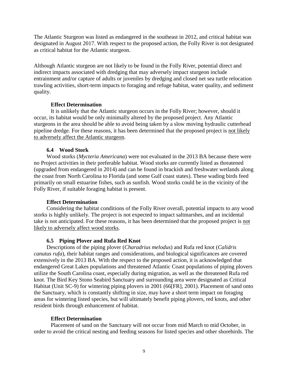The Atlantic Sturgeon was listed as endangered in the southeast in 2012, and critical habitat was designated in August 2017. With respect to the proposed action, the Folly River is not designated as critical habitat for the Atlantic sturgeon.

Although Atlantic sturgeon are not likely to be found in the Folly River, potential direct and indirect impacts associated with dredging that may adversely impact sturgeon include entrainment and/or capture of adults or juveniles by dredging and closed net sea turtle relocation trawling activities, short-term impacts to foraging and refuge habitat, water quality, and sediment quality.

## **Effect Determination**

It is unlikely that the Atlantic sturgeon occurs in the Folly River; however, should it occur, its habitat would be only minimally altered by the proposed project. Any Atlantic sturgeons in the area should be able to avoid being taken by a slow moving hydraulic cutterhead pipeline dredge. For these reasons, it has been determined that the proposed project is not likely to adversely affect the Atlantic sturgeon.

## **6.4 Wood Stork**

Wood storks (*Mycteria Americana*) were not evaluated in the 2013 BA because there were no Project activities in their preferable habitat. Wood storks are currently listed as threatened (upgraded from endangered in 2014) and can be found in brackish and freshwater wetlands along the coast from North Carolina to Florida (and some Gulf coast states). These wading birds feed primarily on small estuarine fishes, such as sunfish. Wood storks could be in the vicinity of the Folly River, if suitable foraging habitat is present.

## **Effect Determination**

Considering the habitat conditions of the Folly River overall, potential impacts to any wood storks is highly unlikely. The project is not expected to impact saltmarshes, and an incidental take is not anticipated. For these reasons, it has been determined that the proposed project is not likely to adversely affect wood storks.

## **6.5 Piping Plover and Rufa Red Knot**

Descriptions of the piping plover (*Charadrius melodus*) and Rufa red knot (*Calidris canutus rufa*), their habitat ranges and considerations, and biological significances are covered extensively in the 2013 BA. With the respect to the proposed action, it is acknowledged that endangered Great Lakes populations and threatened Atlantic Coast populations of piping plovers utilize the South Carolina coast, especially during migration, as well as the threatened Rufa red knot. The Bird Key Stono Seabird Sanctuary and surrounding area were designated as Critical Habitat (Unit SC-9) for wintering piping plovers in 2001 (66[FR], 2001). Placement of sand onto the Sanctuary, which is constantly shifting in size, may have a short term impact on foraging areas for wintering listed species, but will ultimately benefit piping plovers, red knots, and other resident birds through enhancement of habitat.

## **Effect Determination**

Placement of sand on the Sanctuary will not occur from mid March to mid October, in order to avoid the critical nesting and feeding seasons for listed species and other shorebirds. The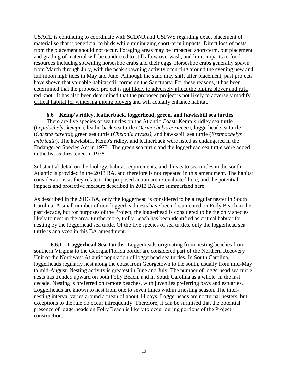USACE is continuing to coordinate with SCDNR and USFWS regarding exact placement of material so that it beneficial to birds while minimizing short-term impacts. Direct loss of nests from the placement should not occur. Foraging areas may be impacted short-term, but placement and grading of material will be conducted to still allow overwash, and limit impacts to food resources including spawning horseshoe crabs and their eggs. Horseshoe crabs generally spawn from March through July, with the peak spawning activity occurring around the evening new and full moon high tides in May and June. Although the sand may shift after placement, past projects have shown that valuable habitat still forms on the Sanctuary. For these reasons, it has been determined that the proposed project is not likely to adversely affect the piping plover and rufa red knot. It has also been determined that the proposed project is not likely to adversely modify critical habitat for wintering piping plovers and will actually enhance habitat.

## **6.6 Kemp's ridley, leatherback, loggerhead, green, and hawksbill sea turtles**

There are five species of sea turtles on the Atlantic Coast: Kemp's ridley sea turtle (*Lepidochelys kempii*); leatherback sea turtle (*Dermochelys coriacea*); loggerhead sea turtle (*Caretta caretta*); green sea turtle (*Chelonia mydas)*; and hawksbill sea turtle (*Eretmochelys imbricata*). The hawksbill, Kemp's ridley, and leatherback were listed as endangered in the Endangered Species Act in 1973. The green sea turtle and the loggerhead sea turtle were added to the list as threatened in 1978.

Substantial detail on the biology, habitat requirements, and threats to sea turtles in the south Atlantic is provided in the 2013 BA, and therefore is not repeated in this amendment. The habitat considerations as they relate to the proposed action are re-evaluated here, and the potential impacts and protective measure described in 2013 BA are summarized here.

As described in the 2013 BA, only the loggerhead is considered to be a regular nester in South Carolina. A small number of non-loggerhead nests have been documented on Folly Beach in the past decade, but for purposes of the Project, the loggerhead is considered to be the only species likely to nest in the area. Furthermore, Folly Beach has been identified as critical habitat for nesting by the loggerhead sea turtle. Of the five species of sea turtles, only the loggerhead sea turtle is analyzed in this BA amendment.

**6.6.1 Loggerhead Sea Turtle.** Loggerheads originating from nesting beaches from southern Virginia to the Georgia/Florida border are considered part of the Northern Recovery Unit of the Northwest Atlantic population of loggerhead sea turtles. In South Carolina, loggerheads regularly nest along the coast from Georgetown to the south, usually from mid-May to mid-August. Nesting activity is greatest in June and July. The number of loggerhead sea turtle nests has trended upward on both Folly Beach, and in South Carolina as a whole, in the last decade. Nesting is preferred on remote beaches, with juveniles preferring bays and estuaries. Loggerheads are known to nest from one to seven times within a nesting season. The internesting interval varies around a mean of about 14 days. Loggerheads are nocturnal nesters, but exceptions to the rule do occur infrequently. Therefore, it can be surmised that the potential presence of loggerheads on Folly Beach is likely to occur during portions of the Project construction.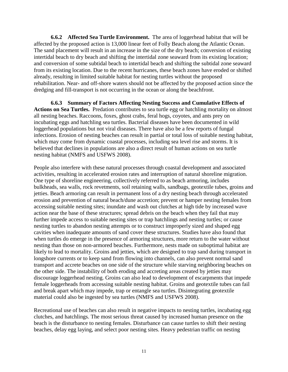**6.6.2 Affected Sea Turtle Environment.** The area of loggerhead habitat that will be affected by the proposed action is 13,000 linear feet of Folly Beach along the Atlantic Ocean. The sand placement will result in an increase in the size of the dry beach; conversion of existing intertidal beach to dry beach and shifting the intertidal zone seaward from its existing location; and conversion of some subtidal beach to intertidal beach and shifting the subtidal zone seaward from its existing location. Due to the recent hurricanes, these beach zones have eroded or shifted already, resulting in limited suitable habitat for nesting turtles without the proposed rehabilitation. Near- and off-shore waters should not be affected by the proposed action since the dredging and fill-transport is not occurring in the ocean or along the beachfront.

**6.6.3 Summary of Factors Affecting Nesting Success and Cumulative Effects of Actions on Sea Turtles.** Predation contributes to sea turtle egg or hatchling mortality on almost all nesting beaches. Raccoons, foxes, ghost crabs, feral hogs, coyotes, and ants prey on incubating eggs and hatchling sea turtles. Bacterial diseases have been documented in wild loggerhead populations but not viral diseases. There have also be a few reports of fungal infections. Erosion of nesting beaches can result in partial or total loss of suitable nesting habitat, which may come from dynamic coastal processes, including sea level rise and storms. It is believed that declines in populations are also a direct result of human actions on sea turtle nesting habitat (NMFS and USFWS 2008).

People also interfere with these natural processes through coastal development and associated activities, resulting in accelerated erosion rates and interruption of natural shoreline migration. One type of shoreline engineering, collectively referred to as beach armoring, includes bulkheads, sea walls, rock revetments, soil retaining walls, sandbags, geotextile tubes, groins and jetties. Beach armoring can result in permanent loss of a dry nesting beach through accelerated erosion and prevention of natural beach/dune accretion; prevent or hamper nesting females from accessing suitable nesting sites; inundate and wash out clutches at high tide by increased wave action near the base of these structures; spread debris on the beach when they fail that may further impede access to suitable nesting sites or trap hatchlings and nesting turtles; or cause nesting turtles to abandon nesting attempts or to construct improperly sized and shaped egg cavities when inadequate amounts of sand cover these structures. Studies have also found that when turtles do emerge in the presence of armoring structures, more return to the water without nesting than those on non-armored beaches. Furthermore, nests made on suboptimal habitat are likely to lead to mortality. Groins and jetties, which are designed to trap sand during transport in longshore currents or to keep sand from flowing into channels, can also prevent normal sand transport and accrete beaches on one side of the structure while starving neighboring beaches on the other side. The instability of both eroding and accreting areas created by jetties may discourage loggerhead nesting. Groins can also lead to development of escarpments that impede female loggerheads from accessing suitable nesting habitat. Groins and geotextile tubes can fail and break apart which may impede, trap or entangle sea turtles. Disintegrating geotextile material could also be ingested by sea turtles (NMFS and USFWS 2008).

Recreational use of beaches can also result in negative impacts to nesting turtles, incubating egg clutches, and hatchlings. The most serious threat caused by increased human presence on the beach is the disturbance to nesting females. Disturbance can cause turtles to shift their nesting beaches, delay egg laying, and select poor nesting sites. Heavy pedestrian traffic on nesting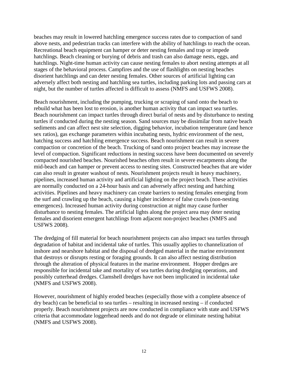beaches may result in lowered hatchling emergence success rates due to compaction of sand above nests, and pedestrian tracks can interfere with the ability of hatchlings to reach the ocean. Recreational beach equipment can hamper or deter nesting females and trap or impede hatchlings. Beach cleaning or burying of debris and trash can also damage nests, eggs, and hatchlings. Night-time human activity can cause nesting females to abort nesting attempts at all stages of the behavioral process. Campfires and the use of flashlights on nesting beaches disorient hatchlings and can deter nesting females. Other sources of artificial lighting can adversely affect both nesting and hatchling sea turtles, including parking lots and passing cars at night, but the number of turtles affected is difficult to assess (NMFS and USFWS 2008).

Beach nourishment, including the pumping, trucking or scraping of sand onto the beach to rebuild what has been lost to erosion, is another human activity that can impact sea turtles. Beach nourishment can impact turtles through direct burial of nests and by disturbance to nesting turtles if conducted during the nesting season. Sand sources may be dissimilar from native beach sediments and can affect nest site selection, digging behavior, incubation temperature (and hence sex ratios), gas exchange parameters within incubating nests, hydric environment of the nest, hatching success and hatchling emergence success. Beach nourishment can result in severe compaction or concretion of the beach. Trucking of sand onto project beaches may increase the level of compaction. Significant reductions in nesting success have been documented on severely compacted nourished beaches. Nourished beaches often result in severe escarpments along the mid-beach and can hamper or prevent access to nesting sites. Constructed beaches that are wider can also result in greater washout of nests. Nourishment projects result in heavy machinery, pipelines, increased human activity and artificial lighting on the project beach. These activities are normally conducted on a 24-hour basis and can adversely affect nesting and hatching activities. Pipelines and heavy machinery can create barriers to nesting females emerging from the surf and crawling up the beach, causing a higher incidence of false crawls (non-nesting emergences). Increased human activity during construction at night may cause further disturbance to nesting females. The artificial lights along the project area may deter nesting females and disorient emergent hatchlings from adjacent non-project beaches (NMFS and USFWS 2008).

The dredging of fill material for beach nourishment projects can also impact sea turtles through degradation of habitat and incidental take of turtles. This usually applies to channelization of inshore and nearshore habitat and the disposal of dredged material in the marine environment that destroys or disrupts resting or foraging grounds. It can also affect nesting distribution through the alteration of physical features in the marine environment. Hopper dredges are responsible for incidental take and mortality of sea turtles during dredging operations, and possibly cutterhead dredges. Clamshell dredges have not been implicated in incidental take (NMFS and USFWS 2008).

However, nourishment of highly eroded beaches (especially those with a complete absence of dry beach) can be beneficial to sea turtles – resulting in increased nesting – if conducted properly. Beach nourishment projects are now conducted in compliance with state and USFWS criteria that accommodate loggerhead needs and do not degrade or eliminate nesting habitat (NMFS and USFWS 2008).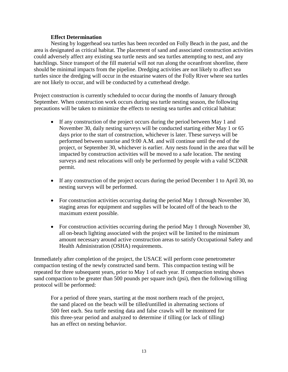## **Effect Determination**

Nesting by loggerhead sea turtles has been recorded on Folly Beach in the past, and the area is designated as critical habitat. The placement of sand and associated construction activities could adversely affect any existing sea turtle nests and sea turtles attempting to nest, and any hatchlings. Since transport of the fill material will not run along the oceanfront shoreline, there should be minimal impacts from the pipeline. Dredging activities are not likely to affect sea turtles since the dredging will occur in the estuarine waters of the Folly River where sea turtles are not likely to occur, and will be conducted by a cutterhead dredge.

Project construction is currently scheduled to occur during the months of January through September. When construction work occurs during sea turtle nesting season, the following precautions will be taken to minimize the effects to nesting sea turtles and critical habitat:

- If any construction of the project occurs during the period between May 1 and November 30, daily nesting surveys will be conducted starting either May 1 or 65 days prior to the start of construction, whichever is later. These surveys will be performed between sunrise and 9:00 A.M. and will continue until the end of the project, or September 30, whichever is earlier. Any nests found in the area that will be impacted by construction activities will be moved to a safe location. The nesting surveys and nest relocations will only be performed by people with a valid SCDNR permit.
- If any construction of the project occurs during the period December 1 to April 30, no nesting surveys will be performed.
- For construction activities occurring during the period May 1 through November 30, staging areas for equipment and supplies will be located off of the beach to the maximum extent possible.
- For construction activities occurring during the period May 1 through November 30, all on-beach lighting associated with the project will be limited to the minimum amount necessary around active construction areas to satisfy Occupational Safety and Health Administration (OSHA) requirements.

Immediately after completion of the project, the USACE will perform cone penetrometer compaction testing of the newly constructed sand berm. This compaction testing will be repeated for three subsequent years, prior to May 1 of each year. If compaction testing shows sand compaction to be greater than 500 pounds per square inch (psi), then the following tilling protocol will be performed:

For a period of three years, starting at the most northern reach of the project, the sand placed on the beach will be tilled/untilled in alternating sections of 500 feet each. Sea turtle nesting data and false crawls will be monitored for this three-year period and analyzed to determine if tilling (or lack of tilling) has an effect on nesting behavior.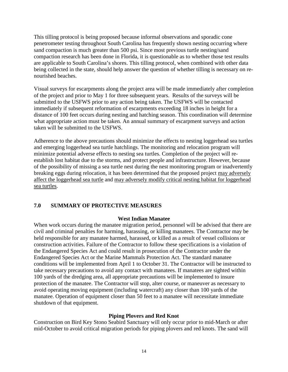This tilling protocol is being proposed because informal observations and sporadic cone penetrometer testing throughout South Carolina has frequently shown nesting occurring where sand compaction is much greater than 500 psi. Since most previous turtle nesting/sand compaction research has been done in Florida, it is questionable as to whether those test results are applicable to South Carolina's shores. This tilling protocol, when combined with other data being collected in the state, should help answer the question of whether tilling is necessary on renourished beaches.

Visual surveys for escarpments along the project area will be made immediately after completion of the project and prior to May 1 for three subsequent years. Results of the surveys will be submitted to the USFWS prior to any action being taken. The USFWS will be contacted immediately if subsequent reformation of escarpments exceeding 18 inches in height for a distance of 100 feet occurs during nesting and hatching season. This coordination will determine what appropriate action must be taken. An annual summary of escarpment surveys and action taken will be submitted to the USFWS.

Adherence to the above precautions should minimize the effects to nesting loggerhead sea turtles and emerging loggerhead sea turtle hatchlings. The monitoring and relocation program will minimize potential adverse effects to nesting sea turtles. Completion of the project will reestablish lost habitat due to the storms, and protect people and infrastructure. However, because of the possibility of missing a sea turtle nest during the nest monitoring program or inadvertently breaking eggs during relocation, it has been determined that the proposed project may adversely affect the loggerhead sea turtle and may adversely modify critical nesting habitat for loggerhead sea turtles.

# **7.0 SUMMARY OF PROTECTIVE MEASURES**

# **West Indian Manatee**

When work occurs during the manatee migration period, personnel will be advised that there are civil and criminal penalties for harming, harassing, or killing manatees. The Contractor may be held responsible for any manatee harmed, harassed, or killed as a result of vessel collisions or construction activities. Failure of the Contractor to follow these specifications is a violation of the Endangered Species Act and could result in prosecution of the Contractor under the Endangered Species Act or the Marine Mammals Protection Act. The standard manatee conditions will be implemented from April 1 to October 31. The Contractor will be instructed to take necessary precautions to avoid any contact with manatees. If manatees are sighted within 100 yards of the dredging area, all appropriate precautions will be implemented to insure protection of the manatee. The Contractor will stop, alter course, or maneuver as necessary to avoid operating moving equipment (including watercraft) any closer than 100 yards of the manatee. Operation of equipment closer than 50 feet to a manatee will necessitate immediate shutdown of that equipment.

# **Piping Plovers and Red Knot**

Construction on Bird Key Stono Seabird Sanctuary will only occur prior to mid-March or after mid-October to avoid critical migration periods for piping plovers and red knots. The sand will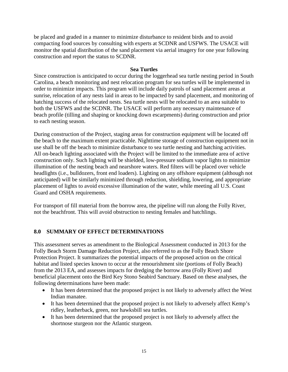be placed and graded in a manner to minimize disturbance to resident birds and to avoid compacting food sources by consulting with experts at SCDNR and USFWS. The USACE will monitor the spatial distribution of the sand placement via aerial imagery for one year following construction and report the status to SCDNR.

## **Sea Turtles**

Since construction is anticipated to occur during the loggerhead sea turtle nesting period in South Carolina, a beach monitoring and nest relocation program for sea turtles will be implemented in order to minimize impacts. This program will include daily patrols of sand placement areas at sunrise, relocation of any nests laid in areas to be impacted by sand placement, and monitoring of hatching success of the relocated nests. Sea turtle nests will be relocated to an area suitable to both the USFWS and the SCDNR. The USACE will perform any necessary maintenance of beach profile (tilling and shaping or knocking down escarpments) during construction and prior to each nesting season.

During construction of the Project, staging areas for construction equipment will be located off the beach to the maximum extent practicable. Nighttime storage of construction equipment not in use shall be off the beach to minimize disturbance to sea turtle nesting and hatching activities. All on-beach lighting associated with the Project will be limited to the immediate area of active construction only. Such lighting will be shielded, low-pressure sodium vapor lights to minimize illumination of the nesting beach and nearshore waters. Red filters will be placed over vehicle headlights (i.e., bulldozers, front end loaders). Lighting on any offshore equipment (although not anticipated) will be similarly minimized through reduction, shielding, lowering, and appropriate placement of lights to avoid excessive illumination of the water, while meeting all U.S. Coast Guard and OSHA requirements.

For transport of fill material from the borrow area, the pipeline will run along the Folly River, not the beachfront. This will avoid obstruction to nesting females and hatchlings.

# **8.0 SUMMARY OF EFFECT DETERMINATIONS**

This assessment serves as amendment to the Biological Assessment conducted in 2013 for the Folly Beach Storm Damage Reduction Project, also referred to as the Folly Beach Shore Protection Project. It summarizes the potential impacts of the proposed action on the critical habitat and listed species known to occur at the renourishment site (portions of Folly Beach) from the 2013 EA, and assesses impacts for dredging the borrow area (Folly River) and beneficial placement onto the Bird Key Stono Seabird Sanctuary. Based on these analyses, the following determinations have been made:

- It has been determined that the proposed project is not likely to adversely affect the West Indian manatee.
- It has been determined that the proposed project is not likely to adversely affect Kemp's ridley, leatherback, green, nor hawksbill sea turtles.
- It has been determined that the proposed project is not likely to adversely affect the shortnose sturgeon nor the Atlantic sturgeon.